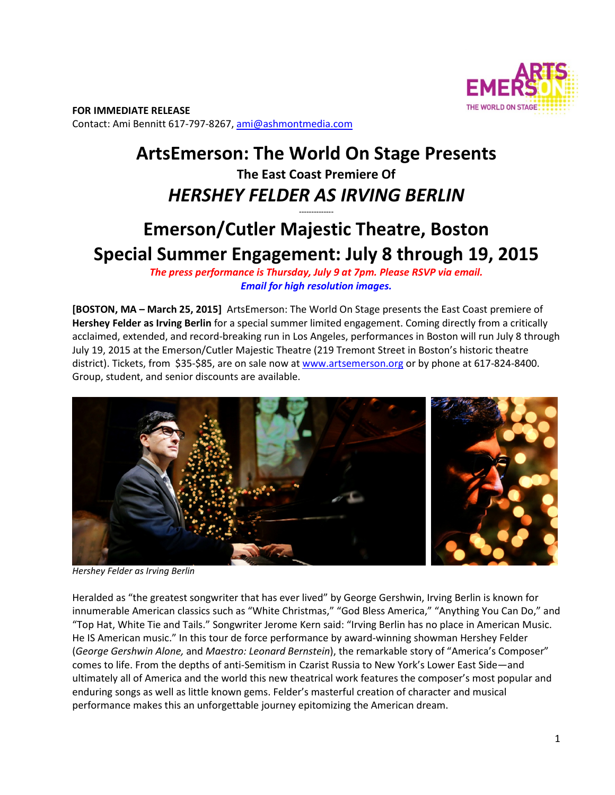

**FOR IMMEDIATE RELEASE**  Contact: Ami Bennitt 617‐797‐8267, ami@ashmontmedia.com

## **ArtsEmerson: The World On Stage Presents The East Coast Premiere Of**  *HERSHEY FELDER AS IRVING BERLIN*

# **Emerson/Cutler Majestic Theatre, Boston Special Summer Engagement: July 8 through 19, 2015**

**--------------** 

*The press performance is Thursday, July 9 at 7pm. Please RSVP via email. Email for high resolution images.*

**[BOSTON, MA – March 25, 2015]** ArtsEmerson: The World On Stage presents the East Coast premiere of **Hershey Felder as Irving Berlin** for a special summer limited engagement. Coming directly from a critically acclaimed, extended, and record‐breaking run in Los Angeles, performances in Boston will run July 8 through July 19, 2015 at the Emerson/Cutler Majestic Theatre (219 Tremont Street in Boston's historic theatre district). Tickets, from \$35-\$85, are on sale now at www.artsemerson.org or by phone at 617-824-8400. Group, student, and senior discounts are available.



*Hershey Felder as Irving Berlin*

Heralded as "the greatest songwriter that has ever lived" by George Gershwin, Irving Berlin is known for innumerable American classics such as "White Christmas," "God Bless America," "Anything You Can Do," and "Top Hat, White Tie and Tails." Songwriter Jerome Kern said: "Irving Berlin has no place in American Music. He IS American music." In this tour de force performance by award‐winning showman Hershey Felder (*George Gershwin Alone,* and *Maestro: Leonard Bernstein*), the remarkable story of "America's Composer" comes to life. From the depths of anti‐Semitism in Czarist Russia to New York's Lower East Side—and ultimately all of America and the world this new theatrical work features the composer's most popular and enduring songs as well as little known gems. Felder's masterful creation of character and musical performance makes this an unforgettable journey epitomizing the American dream.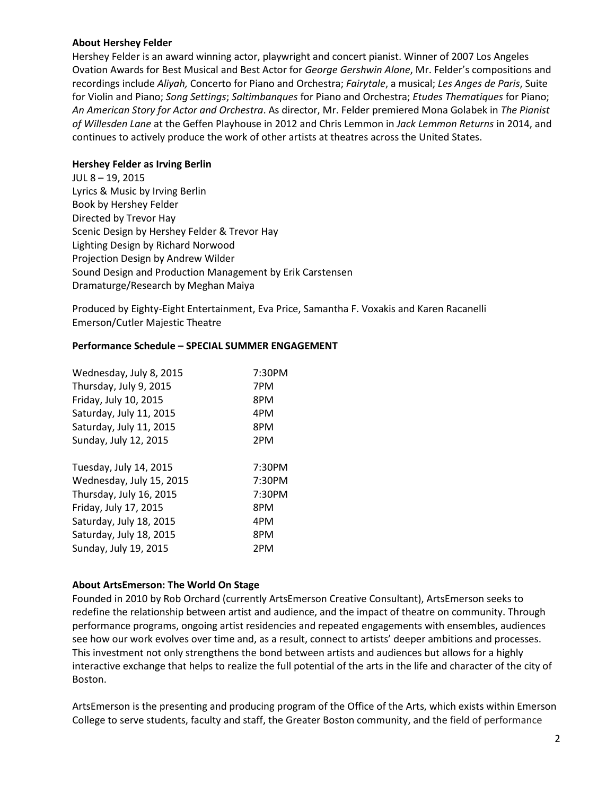#### **About Hershey Felder**

Hershey Felder is an award winning actor, playwright and concert pianist. Winner of 2007 Los Angeles Ovation Awards for Best Musical and Best Actor for *George Gershwin Alone*, Mr. Felder's compositions and recordings include *Aliyah,* Concerto for Piano and Orchestra; *Fairytale*, a musical; *Les Anges de Paris*, Suite for Violin and Piano; *Song Settings*; *Saltimbanques* for Piano and Orchestra; *Etudes Thematiques* for Piano; *An American Story for Actor and Orchestra*. As director, Mr. Felder premiered Mona Golabek in *The Pianist of Willesden Lane* at the Geffen Playhouse in 2012 and Chris Lemmon in *Jack Lemmon Returns* in 2014, and continues to actively produce the work of other artists at theatres across the United States.

#### **Hershey Felder as Irving Berlin**

JUL 8 – 19, 2015 Lyrics & Music by Irving Berlin Book by Hershey Felder Directed by Trevor Hay Scenic Design by Hershey Felder & Trevor Hay Lighting Design by Richard Norwood Projection Design by Andrew Wilder Sound Design and Production Management by Erik Carstensen Dramaturge/Research by Meghan Maiya

Produced by Eighty‐Eight Entertainment, Eva Price, Samantha F. Voxakis and Karen Racanelli Emerson/Cutler Majestic Theatre

#### **Performance Schedule – SPECIAL SUMMER ENGAGEMENT**

| Wednesday, July 8, 2015  | 7:30PM |
|--------------------------|--------|
| Thursday, July 9, 2015   | 7PM    |
| Friday, July 10, 2015    | 8PM    |
| Saturday, July 11, 2015  | 4PM    |
| Saturday, July 11, 2015  | 8PM    |
| Sunday, July 12, 2015    | 2PM    |
|                          |        |
| Tuesday, July 14, 2015   | 7:30PM |
| Wednesday, July 15, 2015 | 7:30PM |
| Thursday, July 16, 2015  | 7:30PM |
| Friday, July 17, 2015    | 8PM    |
| Saturday, July 18, 2015  | 4PM    |
| Saturday, July 18, 2015  | 8PM    |
| Sunday, July 19, 2015    | 2PM    |

#### **About ArtsEmerson: The World On Stage**

Founded in 2010 by Rob Orchard (currently ArtsEmerson Creative Consultant), ArtsEmerson seeks to redefine the relationship between artist and audience, and the impact of theatre on community. Through performance programs, ongoing artist residencies and repeated engagements with ensembles, audiences see how our work evolves over time and, as a result, connect to artists' deeper ambitions and processes. This investment not only strengthens the bond between artists and audiences but allows for a highly interactive exchange that helps to realize the full potential of the arts in the life and character of the city of Boston.

ArtsEmerson is the presenting and producing program of the Office of the Arts, which exists within Emerson College to serve students, faculty and staff, the Greater Boston community, and the field of performance